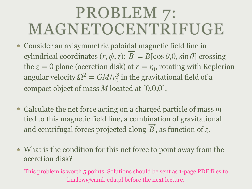## PROBLEM 7: MAGNETOCENTRIFUGE

- Consider an axisymmetric poloidal magnetic field line in cylindrical coordinates  $(r, \phi, z)$ :  $B = B[\cos \theta, 0, \sin \theta]$  crossing the  $z = 0$  plane (accretion disk) at  $r = r_0$ , rotating with Keplerian angular velocity  $\Omega^2 = GM/r_0^3$  in the gravitational field of a compact object of mass M located at [0,0,0].
- Calculate the net force acting on a charged particle of mass *m* tied to this magnetic field line, a combination of gravitational and centrifugal forces projected along  $B$ , as function of  $z$ . ⃗
- What is the condition for this net force to point away from the accretion disk?

This problem is worth 5 points. Solutions should be sent as 1-page PDF files to [knalew@camk.edu.pl](mailto:knalew@camk.edu.pl) before the next lecture.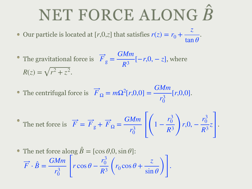## NET FORCE ALONG *B*

Our particle is located at  $[r,0,z]$  that satisfies  $r(z) = r_0 + \frac{z}{\tan \theta}$ . *z* tan *θ*

- The gravitational force is  $F_g = \frac{\sqrt{F}}{R^3}[-r, 0, -z]$ , where  $R(z) = \sqrt{r^2 + z^2}.$ *GMm*  $R^3$ <sup>[−*r*,0, − *z*]</sup>
- The centrifugal force is  $\overline{F}_\Omega = m\Omega^2[r,0,0] = \frac{9m}{r^3} [r,0,0].$ ⃗ *GMm r*3 0 [*r*,0,0]

The net force is 
$$
\overrightarrow{F} = \overrightarrow{F}_g + \overrightarrow{F}_{\Omega} = \frac{GMm}{r_0^3} \left[ \left( 1 - \frac{r_0^3}{R^3} \right) r, 0, -\frac{r_0^3}{R^3} z \right].
$$

The net force along 
$$
\hat{B} = [\cos \theta, 0, \sin \theta]
$$
:  
\n
$$
\vec{F} \cdot \hat{B} = \frac{GMm}{r_0^3} \left[ r \cos \theta - \frac{r_0^3}{R^3} \left( r_0 \cos \theta + \frac{z}{\sin \theta} \right) \right].
$$